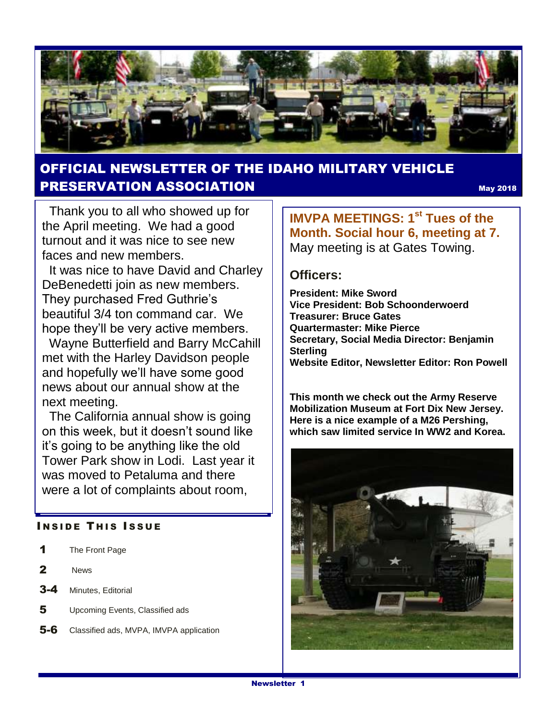

### OFFICIAL NEWSLETTER OF THE IDAHO MILITARY VEHICLE PRESERVATION ASSOCIATION May <sup>2018</sup>

Thank you to all who showed up for the April meeting. We had a good turnout and it was nice to see new faces and new members.

 It was nice to have David and Charley DeBenedetti join as new members. They purchased Fred Guthrie's beautiful 3/4 ton command car. We hope they'll be very active members.

 Wayne Butterfield and Barry McCahill met with the Harley Davidson people and hopefully we'll have some good news about our annual show at the next meeting.

 The California annual show is going on this week, but it doesn't sound like it's going to be anything like the old Tower Park show in Lodi. Last year it was moved to Petaluma and there were a lot of complaints about room,

#### **INSIDE THIS ISSUE**

- 1 The Front Page
- 2 News
- 3-4 Minutes, Editorial
- 5 Upcoming Events, Classified ads
- 5-6 Classified ads, MVPA, IMVPA application

**IMVPA MEETINGS: 1st Tues of the Month. Social hour 6, meeting at 7.**  May meeting is at Gates Towing.

#### **Officers:**

**President: Mike Sword Vice President: Bob Schoonderwoerd Treasurer: Bruce Gates Quartermaster: Mike Pierce Secretary, Social Media Director: Benjamin Sterling Website Editor, Newsletter Editor: Ron Powell**

**This month we check out the Army Reserve Mobilization Museum at Fort Dix New Jersey. Here is a nice example of a M26 Pershing, which saw limited service In WW2 and Korea.**

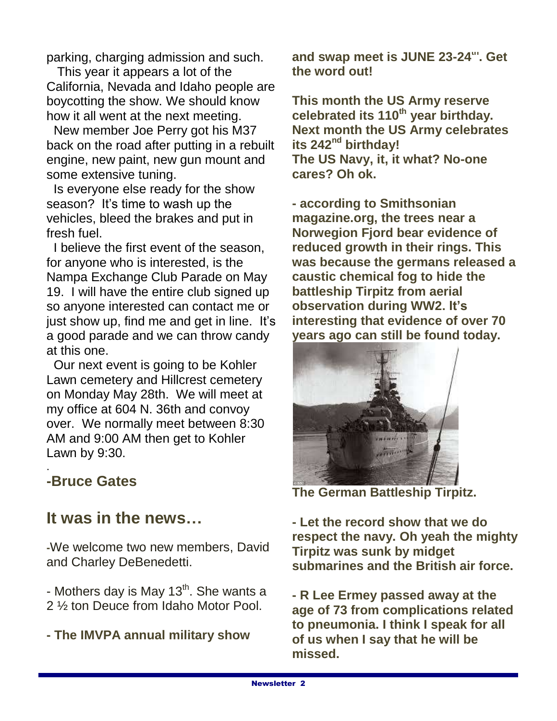parking, charging admission and such.

 This year it appears a lot of the California, Nevada and Idaho people are boycotting the show. We should know how it all went at the next meeting.

New member Joe Perry got his M37 back on the road after putting in a rebuilt engine, new paint, new gun mount and some extensive tuning.

Is everyone else ready for the show season? It's time to wash up the vehicles, bleed the brakes and put in fresh fuel.

I believe the first event of the season, for anyone who is interested, is the Nampa Exchange Club Parade on May 19. I will have the entire club signed up so anyone interested can contact me or just show up, find me and get in line. It's a good parade and we can throw candy at this one.

Our next event is going to be Kohler Lawn cemetery and Hillcrest cemetery on Monday May 28th. We will meet at my office at 604 N. 36th and convoy over. We normally meet between 8:30 AM and 9:00 AM then get to Kohler Lawn by 9:30.

### **-Bruce Gates**

.

## **It was in the news…**

**-**We welcome two new members, David and Charley DeBenedetti.

- Mothers day is May 13<sup>th</sup>. She wants a 2 ½ ton Deuce from Idaho Motor Pool.

**- The IMVPA annual military show** 

**and swap meet is JUNE 23-24th. Get the word out!**

**This month the US Army reserve celebrated its 110th year birthday. Next month the US Army celebrates its 242nd birthday! The US Navy, it, it what? No-one cares? Oh ok.**

**- according to Smithsonian magazine.org, the trees near a Norwegion Fjord bear evidence of reduced growth in their rings. This was because the germans released a caustic chemical fog to hide the battleship Tirpitz from aerial observation during WW2. It's interesting that evidence of over 70 years ago can still be found today.** 



**The German Battleship Tirpitz.** 

**- Let the record show that we do respect the navy. Oh yeah the mighty Tirpitz was sunk by midget submarines and the British air force.**

**- R Lee Ermey passed away at the age of 73 from complications related to pneumonia. I think I speak for all of us when I say that he will be missed.**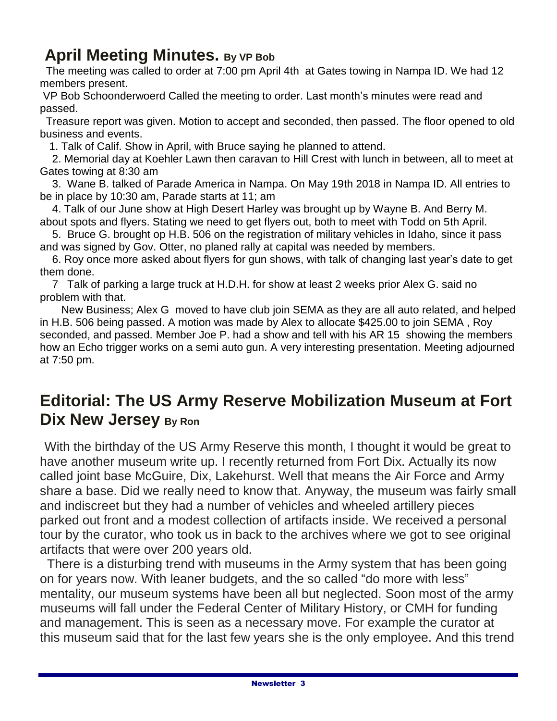## **April Meeting Minutes. By VP Bob**

 The meeting was called to order at 7:00 pm April 4th at Gates towing in Nampa ID. We had 12 members present.

VP Bob Schoonderwoerd Called the meeting to order. Last month's minutes were read and passed.

Treasure report was given. Motion to accept and seconded, then passed. The floor opened to old business and events.

1. Talk of Calif. Show in April, with Bruce saying he planned to attend.

 2. Memorial day at Koehler Lawn then caravan to Hill Crest with lunch in between, all to meet at Gates towing at 8:30 am

 3. Wane B. talked of Parade America in Nampa. On May 19th 2018 in Nampa ID. All entries to be in place by 10:30 am, Parade starts at 11; am

 4. Talk of our June show at High Desert Harley was brought up by Wayne B. And Berry M. about spots and flyers. Stating we need to get flyers out, both to meet with Todd on 5th April.

 5. Bruce G. brought op H.B. 506 on the registration of military vehicles in Idaho, since it pass and was signed by Gov. Otter, no planed rally at capital was needed by members.

 6. Roy once more asked about flyers for gun shows, with talk of changing last year's date to get them done.

 7 Talk of parking a large truck at H.D.H. for show at least 2 weeks prior Alex G. said no problem with that.

 New Business; Alex G moved to have club join SEMA as they are all auto related, and helped in H.B. 506 being passed. A motion was made by Alex to allocate \$425.00 to join SEMA , Roy seconded, and passed. Member Joe P. had a show and tell with his AR 15 showing the members how an Echo trigger works on a semi auto gun. A very interesting presentation. Meeting adjourned at 7:50 pm.

# **Editorial: The US Army Reserve Mobilization Museum at Fort Dix New Jersey By Ron**

 With the birthday of the US Army Reserve this month, I thought it would be great to have another museum write up. I recently returned from Fort Dix. Actually its now called joint base McGuire, Dix, Lakehurst. Well that means the Air Force and Army share a base. Did we really need to know that. Anyway, the museum was fairly small and indiscreet but they had a number of vehicles and wheeled artillery pieces parked out front and a modest collection of artifacts inside. We received a personal tour by the curator, who took us in back to the archives where we got to see original artifacts that were over 200 years old.

 There is a disturbing trend with museums in the Army system that has been going on for years now. With leaner budgets, and the so called "do more with less" mentality, our museum systems have been all but neglected. Soon most of the army museums will fall under the Federal Center of Military History, or CMH for funding and management. This is seen as a necessary move. For example the curator at this museum said that for the last few years she is the only employee. And this trend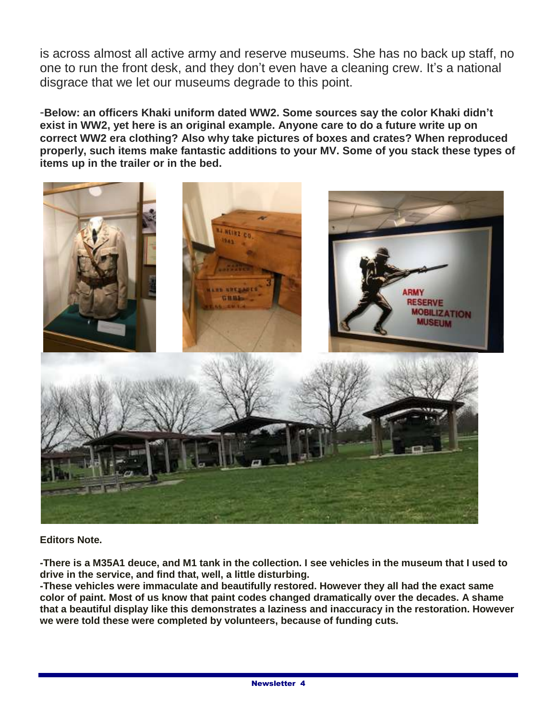is across almost all active army and reserve museums. She has no back up staff, no one to run the front desk, and they don't even have a cleaning crew. It's a national disgrace that we let our museums degrade to this point.

-**Below: an officers Khaki uniform dated WW2. Some sources say the color Khaki didn't exist in WW2, yet here is an original example. Anyone care to do a future write up on correct WW2 era clothing? Also why take pictures of boxes and crates? When reproduced properly, such items make fantastic additions to your MV. Some of you stack these types of items up in the trailer or in the bed.**



#### **Editors Note.**

**-There is a M35A1 deuce, and M1 tank in the collection. I see vehicles in the museum that I used to drive in the service, and find that, well, a little disturbing.** 

**-These vehicles were immaculate and beautifully restored. However they all had the exact same color of paint. Most of us know that paint codes changed dramatically over the decades. A shame that a beautiful display like this demonstrates a laziness and inaccuracy in the restoration. However we were told these were completed by volunteers, because of funding cuts.**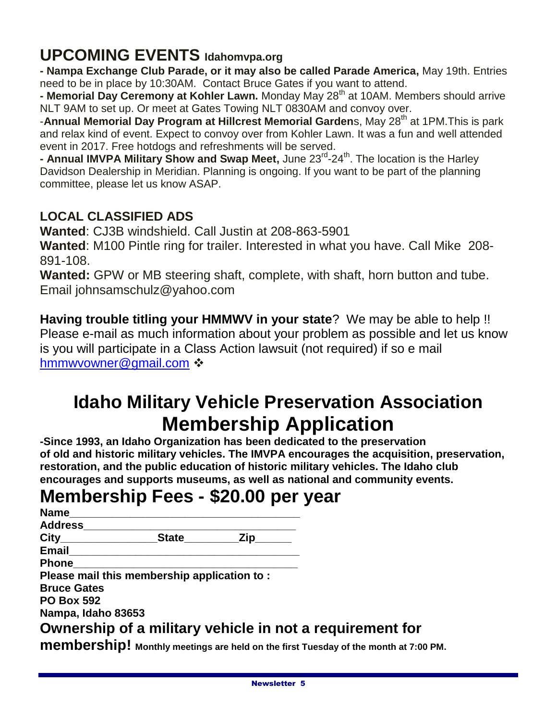# **UPCOMING EVENTS Idahomvpa.org**

**- Nampa Exchange Club Parade, or it may also be called Parade America,** May 19th. Entries need to be in place by 10:30AM. Contact Bruce Gates if you want to attend.

**- Memorial Day Ceremony at Kohler Lawn.** Monday May 28<sup>th</sup> at 10AM. Members should arrive NLT 9AM to set up. Or meet at Gates Towing NLT 0830AM and convoy over.

-**Annual Memorial Day Program at Hillcrest Memorial Gardens, May 28<sup>th</sup> at 1PM. This is park** and relax kind of event. Expect to convoy over from Kohler Lawn. It was a fun and well attended event in 2017. Free hotdogs and refreshments will be served.

**- Annual IMVPA Military Show and Swap Meet,** June 23<sup>rd</sup>-24<sup>th</sup>. The location is the Harley Davidson Dealership in Meridian. Planning is ongoing. If you want to be part of the planning committee, please let us know ASAP.

### **LOCAL CLASSIFIED ADS**

**Wanted**: CJ3B windshield. Call Justin at 208-863-5901

**Wanted**: M100 Pintle ring for trailer. Interested in what you have. Call Mike 208- 891-108.

**Wanted:** GPW or MB steering shaft, complete, with shaft, horn button and tube. Email johnsamschulz@yahoo.com

**Having trouble titling your HMMWV in your state**? We may be able to help !! Please e-mail as much information about your problem as possible and let us know is you will participate in a Class Action lawsuit (not required) if so e mail [hmmwvowner@gmail.com](mailto:hmmwvowner@gmail.com)  $\cdot\cdot$ 

# **Idaho Military Vehicle Preservation Association Membership Application**

**-Since 1993, an Idaho Organization has been dedicated to the preservation of old and historic military vehicles. The IMVPA encourages the acquisition, preservation, restoration, and the public education of historic military vehicles. The Idaho club encourages and supports museums, as well as national and community events.**

# **Membership Fees - \$20.00 per year**

| Name                            |                                             |     |                                                          |
|---------------------------------|---------------------------------------------|-----|----------------------------------------------------------|
| <b>Address</b>                  |                                             |     |                                                          |
| $\mathsf{City} \hspace{0.05in}$ | <b>State</b>                                | Zip |                                                          |
| Email                           |                                             |     |                                                          |
| <b>Phone</b>                    |                                             |     |                                                          |
|                                 | Please mail this membership application to: |     |                                                          |
| <b>Bruce Gates</b>              |                                             |     |                                                          |
| <b>PO Box 592</b>               |                                             |     |                                                          |
| Nampa, Idaho 83653              |                                             |     |                                                          |
|                                 |                                             |     | Ownership of a military vehicle in not a requirement for |

**membership! Monthly meetings are held on the first Tuesday of the month at 7:00 PM.**